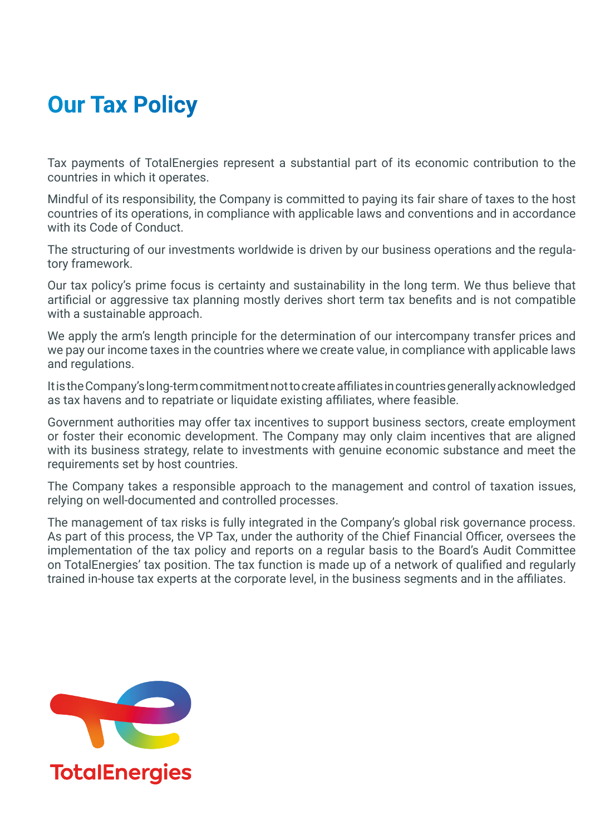## **Our Tax Policy**

Tax payments of TotalEnergies represent a substantial part of its economic contribution to the countries in which it operates.

Mindful of its responsibility, the Company is committed to paying its fair share of taxes to the host countries of its operations, in compliance with applicable laws and conventions and in accordance with its Code of Conduct.

The structuring of our investments worldwide is driven by our business operations and the regulatory framework.

Our tax policy's prime focus is certainty and sustainability in the long term. We thus believe that artificial or aggressive tax planning mostly derives short term tax benefits and is not compatible with a sustainable approach.

We apply the arm's length principle for the determination of our intercompany transfer prices and we pay our income taxes in the countries where we create value, in compliance with applicable laws and regulations.

It is the Company's long-term commitment not to create affiliates in countries generally acknowledged as tax havens and to repatriate or liquidate existing affiliates, where feasible.

Government authorities may offer tax incentives to support business sectors, create employment or foster their economic development. The Company may only claim incentives that are aligned with its business strategy, relate to investments with genuine economic substance and meet the requirements set by host countries.

The Company takes a responsible approach to the management and control of taxation issues, relying on well-documented and controlled processes.

The management of tax risks is fully integrated in the Company's global risk governance process. As part of this process, the VP Tax, under the authority of the Chief Financial Officer, oversees the implementation of the tax policy and reports on a regular basis to the Board's Audit Committee on TotalEnergies' tax position. The tax function is made up of a network of qualified and regularly trained in-house tax experts at the corporate level, in the business segments and in the affiliates.